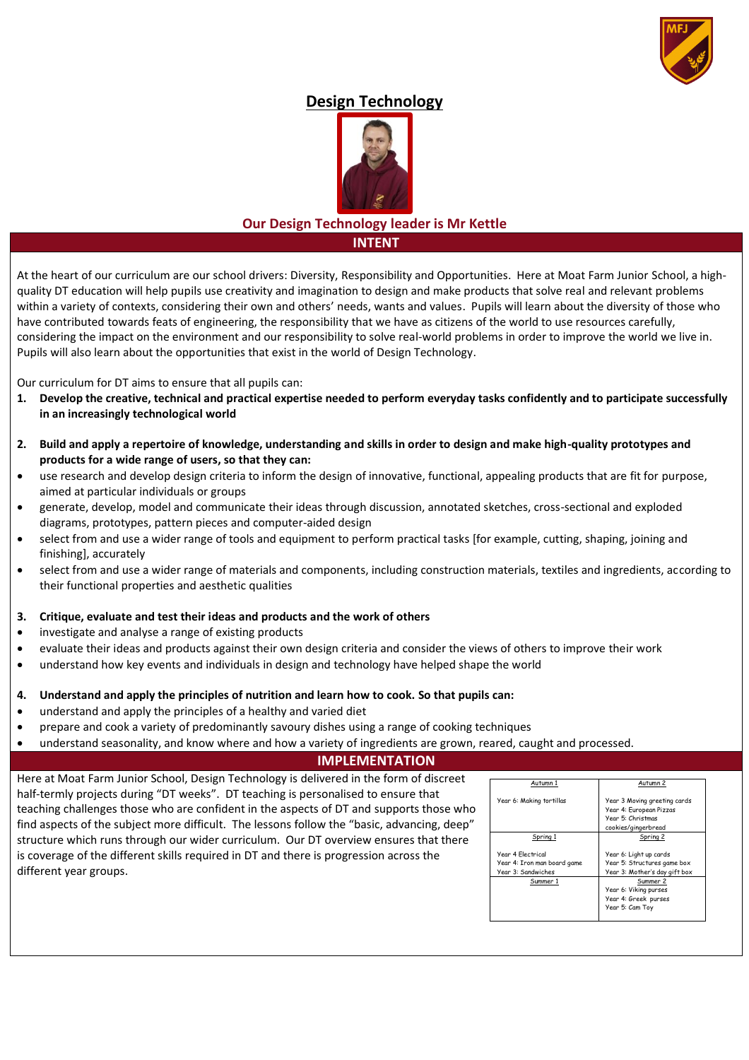

# **Design Technology**



## **Our Design Technology leader is Mr Kettle INTENT**

At the heart of our curriculum are our school drivers: Diversity, Responsibility and Opportunities. Here at Moat Farm Junior School, a highquality DT education will help pupils use creativity and imagination to design and make products that solve real and relevant problems within a variety of contexts, considering their own and others' needs, wants and values. Pupils will learn about the diversity of those who have contributed towards feats of engineering, the responsibility that we have as citizens of the world to use resources carefully, considering the impact on the environment and our responsibility to solve real-world problems in order to improve the world we live in. Pupils will also learn about the opportunities that exist in the world of Design Technology.

Our curriculum for DT aims to ensure that all pupils can:

- **1. Develop the creative, technical and practical expertise needed to perform everyday tasks confidently and to participate successfully in an increasingly technological world**
- **2. Build and apply a repertoire of knowledge, understanding and skills in order to design and make high-quality prototypes and products for a wide range of users, so that they can:**
- use research and develop design criteria to inform the design of innovative, functional, appealing products that are fit for purpose, aimed at particular individuals or groups
- generate, develop, model and communicate their ideas through discussion, annotated sketches, cross-sectional and exploded diagrams, prototypes, pattern pieces and computer-aided design
- select from and use a wider range of tools and equipment to perform practical tasks [for example, cutting, shaping, joining and finishing], accurately
- select from and use a wider range of materials and components, including construction materials, textiles and ingredients, according to their functional properties and aesthetic qualities

## **3. Critique, evaluate and test their ideas and products and the work of others**

- investigate and analyse a range of existing products
- evaluate their ideas and products against their own design criteria and consider the views of others to improve their work
- understand how key events and individuals in design and technology have helped shape the world

## **4. Understand and apply the principles of nutrition and learn how to cook. So that pupils can:**

- understand and apply the principles of a healthy and varied diet
- prepare and cook a variety of predominantly savoury dishes using a range of cooking techniques
- understand seasonality, and know where and how a variety of ingredients are grown, reared, caught and processed.

## **IMPLEMENTATION**

Here at Moat Farm Junior School, Design Technology is delivered in the form of discreet half-termly projects during "DT weeks". DT teaching is personalised to ensure that teaching challenges those who are confident in the aspects of DT and supports those who find aspects of the subject more difficult. The lessons follow the "basic, advancing, deep" structure which runs through our wider curriculum. Our DT overview ensures that there is coverage of the different skills required in DT and there is progression across the different year groups.

| Autumn 1                                                               | Autumn 2                                                                                            |
|------------------------------------------------------------------------|-----------------------------------------------------------------------------------------------------|
| Year 6: Making tortillas                                               | Year 3 Moving greeting cards<br>Year 4: European Pizzas<br>Year 5: Christmas<br>cookies/gingerbread |
| Spring 1                                                               | Spring 2                                                                                            |
| Year 4 Flectrical<br>Year 4: Iron man board game<br>Year 3: Sandwiches | Year 6: Light up cards<br>Year 5: Structures game box<br>Year 3: Mother's day gift box              |
| Summer 1                                                               | Summer 2<br>Year 6: Viking purses<br>Year 4: Greek purses<br>Year 5: Cam Toy                        |